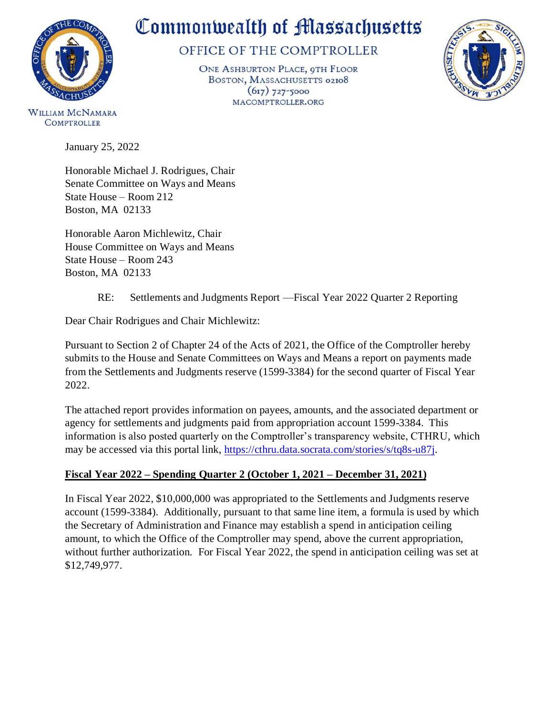

# Commonwealth of Massachusetts

## OFFICE OF THE COMPTROLLER

ONE ASHBURTON PLACE, 9TH FLOOR BOSTON, MASSACHUSETTS 02108  $(617)$  727-5000 MACOMPTROLLER.ORG



**WILLIAM MCNAMARA COMPTROLLER** 

January 25, 2022

Honorable Michael J. Rodrigues, Chair Senate Committee on Ways and Means State House – Room 212 Boston, MA 02133

Honorable Aaron Michlewitz, Chair House Committee on Ways and Means State House – Room 243 Boston, MA 02133

### RE: Settlements and Judgments Report —Fiscal Year 2022 Quarter 2 Reporting

Dear Chair Rodrigues and Chair Michlewitz:

Pursuant to Section 2 of Chapter 24 of the Acts of 2021, the Office of the Comptroller hereby submits to the House and Senate Committees on Ways and Means a report on payments made from the Settlements and Judgments reserve (1599-3384) for the second quarter of Fiscal Year 2022.

The attached report provides information on payees, amounts, and the associated department or agency for settlements and judgments paid from appropriation account 1599-3384. This information is also posted quarterly on the Comptroller's transparency website, CTHRU, which may be accessed via this portal link, [https://cthru.data.socrata.com/stories/s/tq8s-u87j.](https://cthru.data.socrata.com/stories/s/tq8s-u87j)

### **Fiscal Year 2022 – Spending Quarter 2 (October 1, 2021 – December 31, 2021)**

In Fiscal Year 2022, \$10,000,000 was appropriated to the Settlements and Judgments reserve account (1599-3384). Additionally, pursuant to that same line item, a formula is used by which the Secretary of Administration and Finance may establish a spend in anticipation ceiling amount, to which the Office of the Comptroller may spend, above the current appropriation, without further authorization. For Fiscal Year 2022, the spend in anticipation ceiling was set at \$12,749,977.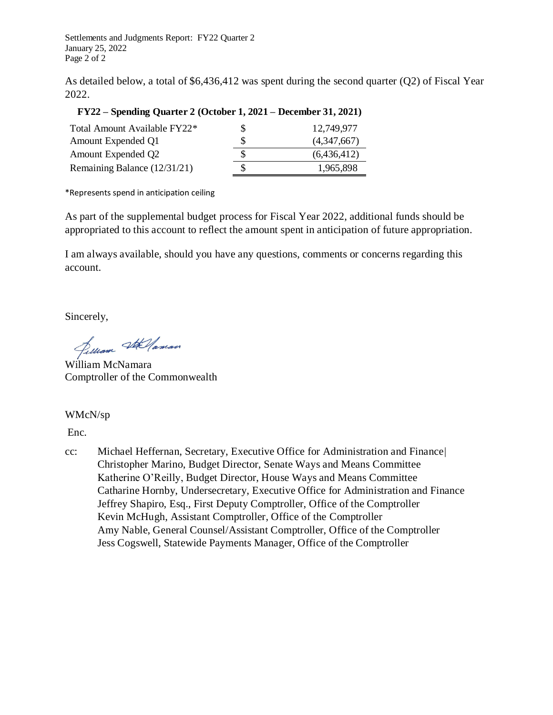Settlements and Judgments Report: FY22 Quarter 2 January 25, 2022 Page 2 of 2

As detailed below, a total of \$6,436,412 was spent during the second quarter (Q2) of Fiscal Year 2022.

#### **FY22 – Spending Quarter 2 (October 1, 2021 – December 31, 2021)**

| Total Amount Available FY22* | \$ | 12.749.977  |
|------------------------------|----|-------------|
| Amount Expended Q1           | S  | (4,347,667) |
| Amount Expended Q2           | S  | (6,436,412) |
| Remaining Balance (12/31/21) | S  | 1,965,898   |

\*Represents spend in anticipation ceiling

As part of the supplemental budget process for Fiscal Year 2022, additional funds should be appropriated to this account to reflect the amount spent in anticipation of future appropriation.

I am always available, should you have any questions, comments or concerns regarding this account.

Sincerely,

Jelliam Stellaman

William McNamara Comptroller of the Commonwealth

WMcN/sp

[Enc.](#page-2-0)

cc: Michael Heffernan, Secretary, Executive Office for Administration and Finance| Christopher Marino, Budget Director, Senate Ways and Means Committee Katherine O'Reilly, Budget Director, House Ways and Means Committee Catharine Hornby, Undersecretary, Executive Office for Administration and Finance Jeffrey Shapiro, Esq., First Deputy Comptroller, Office of the Comptroller Kevin McHugh, Assistant Comptroller, Office of the Comptroller Amy Nable, General Counsel/Assistant Comptroller, Office of the Comptroller Jess Cogswell, Statewide Payments Manager, Office of the Comptroller